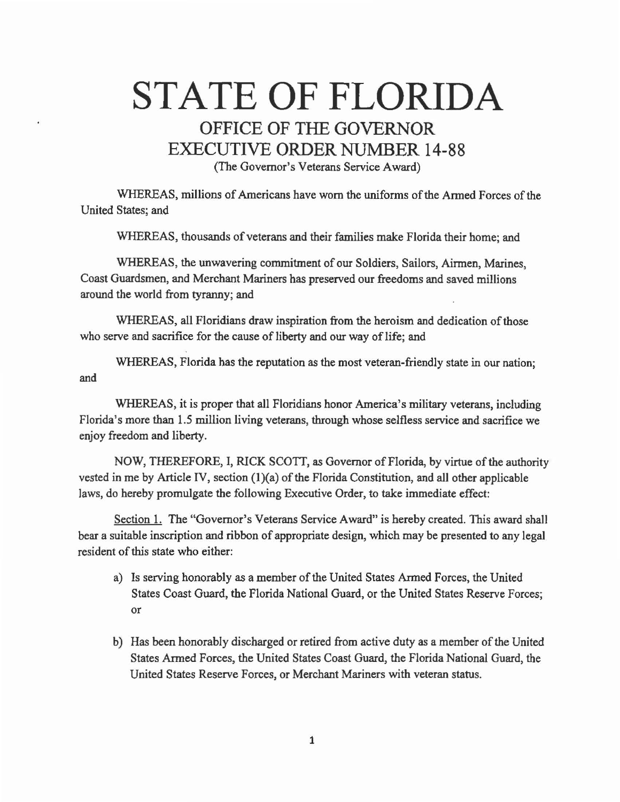## STATE OF FLORIDA OFFICE OF THE GOVERNOR EXECUTIVE ORDER NUMBER 14-88 (The Governor's Veterans Service Award)

WHEREAS, millions of Americans have worn the uniforms of the Armed Forces of the United States; and

WHEREAS, thousands of veterans and their families make Florida their home; and

WHEREAS, the unwavering commitment of our Soldiers, Sailors, Airmen, Marines, Coast Guardsmen, and Merchant Mariners has preserved our freedoms and saved millions around the world from tyranny; and

WHEREAS, all Floridians draw inspiration from the heroism and dedication of those who serve and sacrifice for the cause of liberty and our way of life; and

WHEREAS, Florida has the reputation as the most veteran-friendly state in our nation; and

WHEREAS, it is proper that all Floridians honor America's military veterans, including Florida's more than 1.5 million living veterans, through whose selfless service and sacrifice we enjoy freedom and liberty.

NOW, THEREFORE, I, RICK SCOTI, as Governor of Florida, by virtue of the authority vested in me by Article IV, section  $(1)(a)$  of the Florida Constitution, and all other applicable laws, do hereby promulgate the following Executive Order, to take immediate effect:

Section 1. The "Governor's Veterans Service Award" is hereby created. This award shall bear a suitable inscription and ribbon of appropriate design, which may be presented to any legal resident of *this* state who either:

- a) Is serving honorably *as* a member of the United States Armed Forces, the United States *Coast* Guard, the Florida National Guard, or the United States Reserve Forces; or
- b) Has been honorably discharged or retired from active duty as a member of the United States Armed Forces, the United States Coast Guard, the Florida National Guard, the United States Reserve Forces, or Merchant Mariners with veteran status.